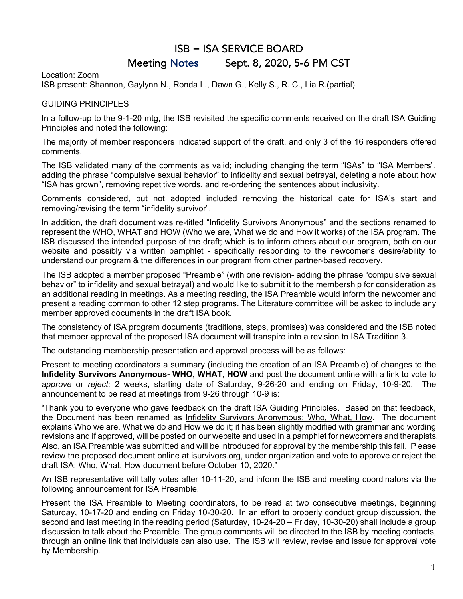# ISB = ISA SERVICE BOARD Meeting Notes Sept. 8, 2020, 5-6 PM CST

Location: Zoom

ISB present: Shannon, Gaylynn N., Ronda L., Dawn G., Kelly S., R. C., Lia R.(partial)

# GUIDING PRINCIPLES

In a follow-up to the 9-1-20 mtg, the ISB revisited the specific comments received on the draft ISA Guiding Principles and noted the following:

The majority of member responders indicated support of the draft, and only 3 of the 16 responders offered comments.

The ISB validated many of the comments as valid; including changing the term "ISAs" to "ISA Members", adding the phrase "compulsive sexual behavior" to infidelity and sexual betrayal, deleting a note about how "ISA has grown", removing repetitive words, and re-ordering the sentences about inclusivity.

Comments considered, but not adopted included removing the historical date for ISA's start and removing/revising the term "infidelity survivor".

In addition, the draft document was re-titled "Infidelity Survivors Anonymous" and the sections renamed to represent the WHO, WHAT and HOW (Who we are, What we do and How it works) of the ISA program. The ISB discussed the intended purpose of the draft; which is to inform others about our program, both on our website and possibly via written pamphlet - specifically responding to the newcomer's desire/ability to understand our program & the differences in our program from other partner-based recovery.

The ISB adopted a member proposed "Preamble" (with one revision- adding the phrase "compulsive sexual behavior" to infidelity and sexual betrayal) and would like to submit it to the membership for consideration as an additional reading in meetings. As a meeting reading, the ISA Preamble would inform the newcomer and present a reading common to other 12 step programs. The Literature committee will be asked to include any member approved documents in the draft ISA book.

The consistency of ISA program documents (traditions, steps, promises) was considered and the ISB noted that member approval of the proposed ISA document will transpire into a revision to ISA Tradition 3.

The outstanding membership presentation and approval process will be as follows:

Present to meeting coordinators a summary (including the creation of an ISA Preamble) of changes to the **Infidelity Survivors Anonymous- WHO, WHAT, HOW** and post the document online with a link to vote to *approve* or *reject:* 2 weeks, starting date of Saturday, 9-26-20 and ending on Friday, 10-9-20. The announcement to be read at meetings from 9-26 through 10-9 is:

"Thank you to everyone who gave feedback on the draft ISA Guiding Principles. Based on that feedback, the Document has been renamed as Infidelity Survivors Anonymous: Who, What, How. The document explains Who we are, What we do and How we do it; it has been slightly modified with grammar and wording revisions and if approved, will be posted on our website and used in a pamphlet for newcomers and therapists. Also, an ISA Preamble was submitted and will be introduced for approval by the membership this fall. Please review the proposed document online at isurvivors.org, under organization and vote to approve or reject the draft ISA: Who, What, How document before October 10, 2020."

An ISB representative will tally votes after 10-11-20, and inform the ISB and meeting coordinators via the following announcement for ISA Preamble.

Present the ISA Preamble to Meeting coordinators, to be read at two consecutive meetings, beginning Saturday, 10-17-20 and ending on Friday 10-30-20. In an effort to properly conduct group discussion, the second and last meeting in the reading period (Saturday, 10-24-20 – Friday, 10-30-20) shall include a group discussion to talk about the Preamble. The group comments will be directed to the ISB by meeting contacts, through an online link that individuals can also use. The ISB will review, revise and issue for approval vote by Membership.